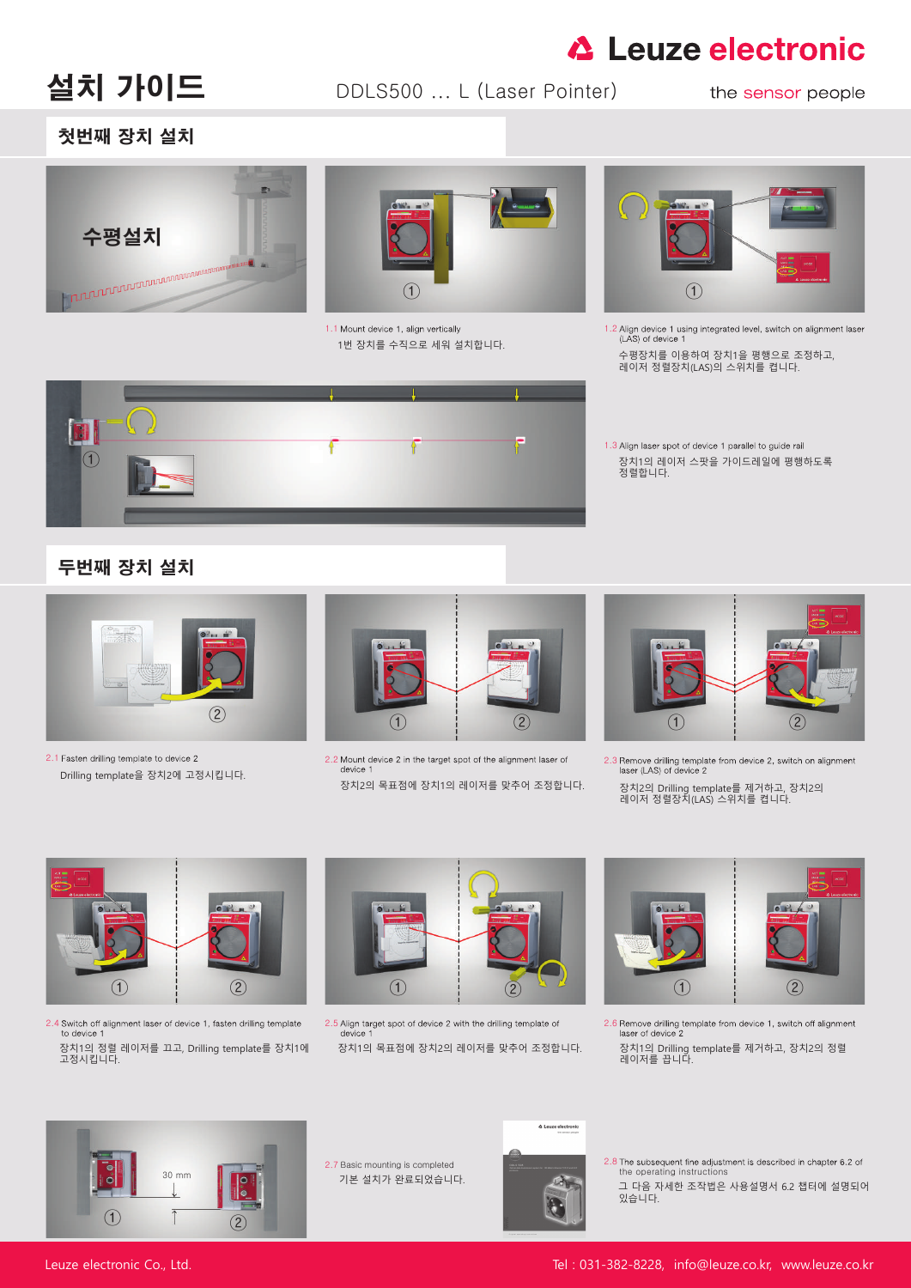# **△ Leuze electronic**

설치 가이드 DDLS500 ... L (Laser Pointer)

#### the sensor people



2.8 The subsequent fine adjustment is described in chapter 6.2 of the operating instructions

1.3 Align laser spot of device 1 parallel to guide rail 장치1의 레이저 스팟을 가이드레일에 평행하도록 정렬합니다.



### 첫번째 장치 설치

2.7 Basic mounting is completed

1번 장치를 수직으로 세워 설치합니다.



1.1 Mount device 1, align vertically  $1.2$  Align device 1 using integrated level, switch on alignment laser<br> $1.4$  H  $\overline{1}$  + H  $\overline{1}$   $\overline{1}$  + H  $\overline{1}$  + H  $\overline{1}$  + H  $\overline{1}$  + H  $\overline{1}$  + H  $\overline{1}$  + H  $\overline{$ 

수평장치를 이용하여 장치1을 평행으로 조정하고, 레이저 정렬장치(LAS)의 스위치를 켭니다.



Drilling template을 장치2에 고정시킵니다.

장치2의 목표점에 장치1의 레이저를 맞추어 조정합니다. 장치2의 Drilling template를 제거하고, 장치2의 레이저 정렬장치(LAS) 스위치를 켭니다.





장치1의 정렬 레이저를 끄고, Drilling template를 장치1에 고정시킵니다.

device 1











- 
- 2.4 Switch off alignment laser of device 1, fasten drilling template 2.5 Align target spot of device 2 with the drilling template of 2.6 Remove drilling template from device 1, switch off alignment to device 1



2.1 Fasten drilling template to device 2<br>2.1 All 7l Inch metals and device 2 in the target spot of the alignment laser of 2.3 Remove drilling template from device 2, switch on alignment<br>2.1 Drilling template 5 Alt 1 all 7l

장치1의 목표점에 장치2의 레이저를 맞추어 조정합니다. 장치1의 Drilling template를 제거하고, 장치2의 정렬

laser of device 2

레이저를 끕니다.

기본 설치가 완료되었습니다. 그 다음 자세한 조작법은 사용설명서 6.2 챕터에 설명되어 있습니다.

Leuze electronic Co., Ltd. Tel : 031-382-8228, info@leuze.co.kr, www.leuze.co.kr

## 두번째 장치 설치